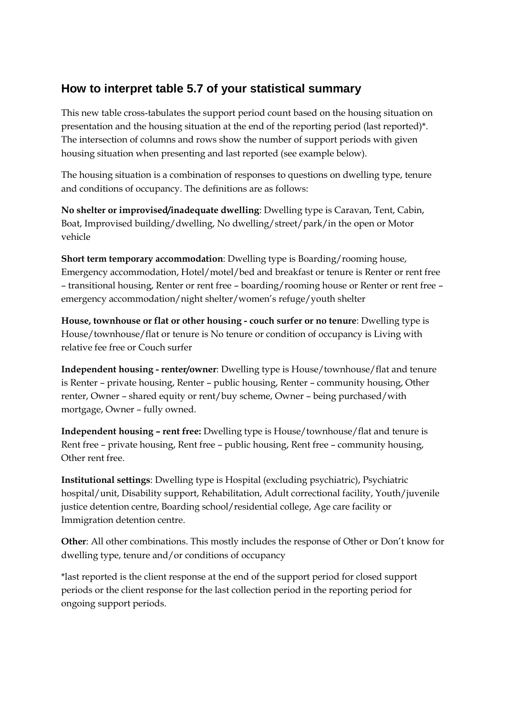## **How to interpret table 5.7 of your statistical summary**

This new table cross-tabulates the support period count based on the housing situation on presentation and the housing situation at the end of the reporting period (last reported)\*. The intersection of columns and rows show the number of support periods with given housing situation when presenting and last reported (see example below).

The housing situation is a combination of responses to questions on dwelling type, tenure and conditions of occupancy. The definitions are as follows:

**No shelter or improvised/inadequate dwelling**: Dwelling type is Caravan, Tent, Cabin, Boat, Improvised building/dwelling, No dwelling/street/park/in the open or Motor vehicle

**Short term temporary accommodation**: Dwelling type is Boarding/rooming house, Emergency accommodation, Hotel/motel/bed and breakfast or tenure is Renter or rent free – transitional housing, Renter or rent free – boarding/rooming house or Renter or rent free – emergency accommodation/night shelter/women's refuge/youth shelter

**House, townhouse or flat or other housing - couch surfer or no tenure**: Dwelling type is House/townhouse/flat or tenure is No tenure or condition of occupancy is Living with relative fee free or Couch surfer

**Independent housing - renter/owner**: Dwelling type is House/townhouse/flat and tenure is Renter – private housing, Renter – public housing, Renter – community housing, Other renter, Owner – shared equity or rent/buy scheme, Owner – being purchased/with mortgage, Owner – fully owned.

**Independent housing – rent free:** Dwelling type is House/townhouse/flat and tenure is Rent free – private housing, Rent free – public housing, Rent free – community housing, Other rent free.

**Institutional settings**: Dwelling type is Hospital (excluding psychiatric), Psychiatric hospital/unit, Disability support, Rehabilitation, Adult correctional facility, Youth/juvenile justice detention centre, Boarding school/residential college, Age care facility or Immigration detention centre.

**Other**: All other combinations. This mostly includes the response of Other or Don't know for dwelling type, tenure and/or conditions of occupancy

\*last reported is the client response at the end of the support period for closed support periods or the client response for the last collection period in the reporting period for ongoing support periods.